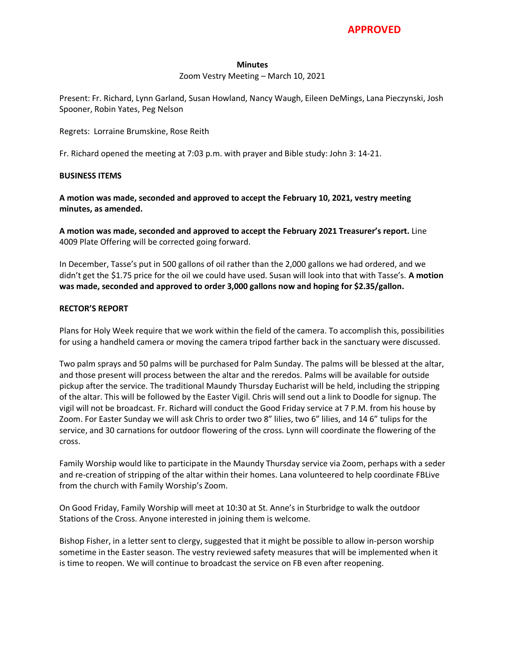#### **Minutes**

Zoom Vestry Meeting – March 10, 2021

Present: Fr. Richard, Lynn Garland, Susan Howland, Nancy Waugh, Eileen DeMings, Lana Pieczynski, Josh Spooner, Robin Yates, Peg Nelson

Regrets: Lorraine Brumskine, Rose Reith

Fr. Richard opened the meeting at 7:03 p.m. with prayer and Bible study: John 3: 14-21.

### **BUSINESS ITEMS**

**A motion was made, seconded and approved to accept the February 10, 2021, vestry meeting minutes, as amended.**

**A motion was made, seconded and approved to accept the February 2021 Treasurer's report.** Line 4009 Plate Offering will be corrected going forward.

In December, Tasse's put in 500 gallons of oil rather than the 2,000 gallons we had ordered, and we didn't get the \$1.75 price for the oil we could have used. Susan will look into that with Tasse's. **A motion was made, seconded and approved to order 3,000 gallons now and hoping for \$2.35/gallon.**

### **RECTOR'S REPORT**

Plans for Holy Week require that we work within the field of the camera. To accomplish this, possibilities for using a handheld camera or moving the camera tripod farther back in the sanctuary were discussed.

Two palm sprays and 50 palms will be purchased for Palm Sunday. The palms will be blessed at the altar, and those present will process between the altar and the reredos. Palms will be available for outside pickup after the service. The traditional Maundy Thursday Eucharist will be held, including the stripping of the altar. This will be followed by the Easter Vigil. Chris will send out a link to Doodle for signup. The vigil will not be broadcast. Fr. Richard will conduct the Good Friday service at 7 P.M. from his house by Zoom. For Easter Sunday we will ask Chris to order two 8" lilies, two 6" lilies, and 14 6" tulips for the service, and 30 carnations for outdoor flowering of the cross. Lynn will coordinate the flowering of the cross.

Family Worship would like to participate in the Maundy Thursday service via Zoom, perhaps with a seder and re-creation of stripping of the altar within their homes. Lana volunteered to help coordinate FBLive from the church with Family Worship's Zoom.

On Good Friday, Family Worship will meet at 10:30 at St. Anne's in Sturbridge to walk the outdoor Stations of the Cross. Anyone interested in joining them is welcome.

Bishop Fisher, in a letter sent to clergy, suggested that it might be possible to allow in-person worship sometime in the Easter season. The vestry reviewed safety measures that will be implemented when it is time to reopen. We will continue to broadcast the service on FB even after reopening.